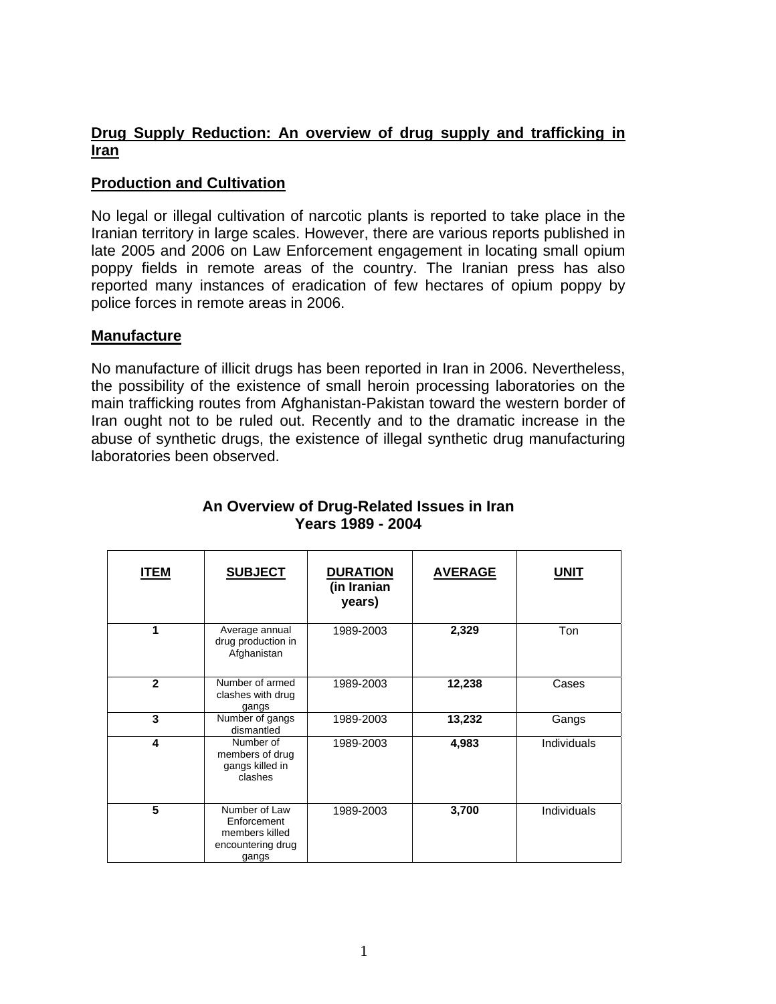# **Drug Supply Reduction: An overview of drug supply and trafficking in Iran**

## **Production and Cultivation**

No legal or illegal cultivation of narcotic plants is reported to take place in the Iranian territory in large scales. However, there are various reports published in late 2005 and 2006 on Law Enforcement engagement in locating small opium poppy fields in remote areas of the country. The Iranian press has also reported many instances of eradication of few hectares of opium poppy by police forces in remote areas in 2006.

## **Manufacture**

 $\blacksquare$ 

No manufacture of illicit drugs has been reported in Iran in 2006. Nevertheless, the possibility of the existence of small heroin processing laboratories on the main trafficking routes from Afghanistan-Pakistan toward the western border of Iran ought not to be ruled out. Recently and to the dramatic increase in the abuse of synthetic drugs, the existence of illegal synthetic drug manufacturing laboratories been observed.

| <b>ITEM</b>  | <b>SUBJECT</b>                                                               | <b>DURATION</b><br>(in Iranian<br>years) | <b>AVERAGE</b> | <b>UNIT</b> |
|--------------|------------------------------------------------------------------------------|------------------------------------------|----------------|-------------|
| 1            | Average annual<br>drug production in<br>Afghanistan                          | 1989-2003                                | 2,329          | Ton         |
| $\mathbf{2}$ | Number of armed<br>clashes with drug<br>gangs                                | 1989-2003                                | 12,238         | Cases       |
| 3            | Number of gangs<br>dismantled                                                | 1989-2003                                | 13,232         | Gangs       |
| 4            | Number of<br>members of drug<br>gangs killed in<br>clashes                   | 1989-2003                                | 4,983          | Individuals |
| 5            | Number of Law<br>Enforcement<br>members killed<br>encountering drug<br>gangs | 1989-2003                                | 3,700          | Individuals |

## **An Overview of Drug-Related Issues in Iran Years 1989 - 2004**

 $\overline{\phantom{a}}$ 

 $\overline{\phantom{a}}$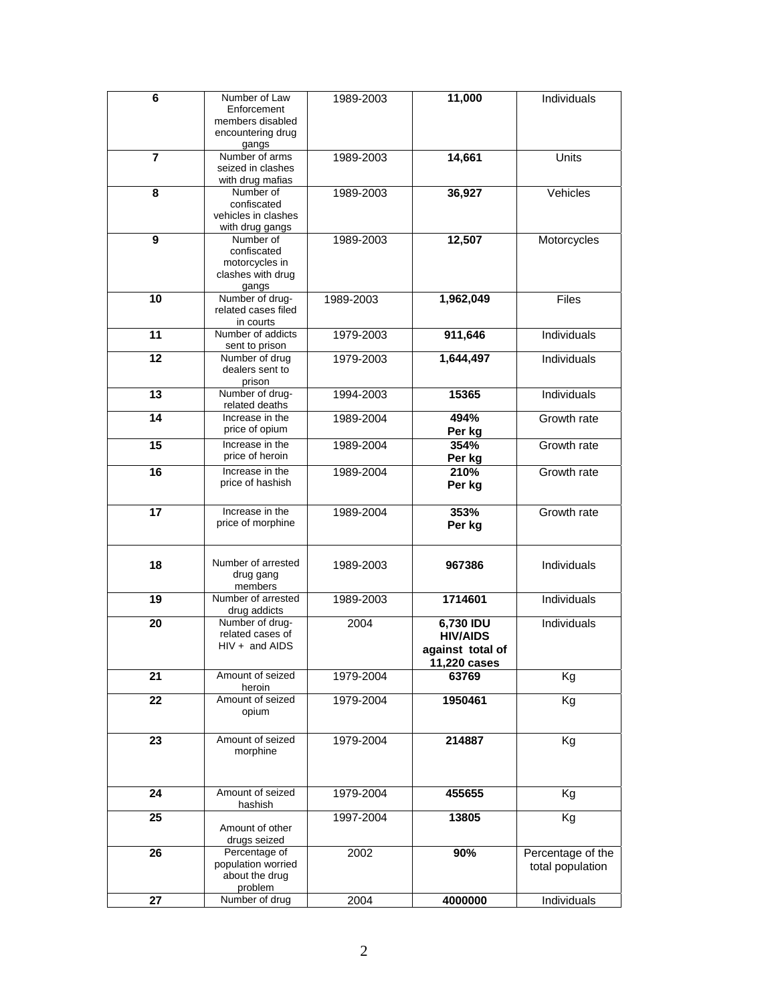| 6                       | Number of Law                       | 1989-2003 | 11,000                | Individuals       |
|-------------------------|-------------------------------------|-----------|-----------------------|-------------------|
|                         | Enforcement                         |           |                       |                   |
|                         | members disabled                    |           |                       |                   |
|                         | encountering drug                   |           |                       |                   |
| $\overline{\mathbf{7}}$ | gangs<br>Number of arms             | 1989-2003 | 14,661                | Units             |
|                         | seized in clashes                   |           |                       |                   |
|                         | with drug mafias                    |           |                       |                   |
| 8                       | Number of                           | 1989-2003 | 36,927                | Vehicles          |
|                         | confiscated                         |           |                       |                   |
|                         | vehicles in clashes                 |           |                       |                   |
|                         | with drug gangs                     |           |                       |                   |
| 9                       | Number of<br>confiscated            | 1989-2003 | 12,507                | Motorcycles       |
|                         | motorcycles in                      |           |                       |                   |
|                         | clashes with drug                   |           |                       |                   |
|                         | gangs                               |           |                       |                   |
| 10                      | Number of drug-                     | 1989-2003 | 1,962,049             | <b>Files</b>      |
|                         | related cases filed                 |           |                       |                   |
|                         | in courts                           |           |                       |                   |
| 11                      | Number of addicts                   | 1979-2003 | 911,646               | Individuals       |
| 12                      | sent to prison<br>Number of drug    | 1979-2003 | 1,644,497             | Individuals       |
|                         | dealers sent to                     |           |                       |                   |
|                         | prison                              |           |                       |                   |
| $\overline{13}$         | Number of drug-                     | 1994-2003 | 15365                 | Individuals       |
|                         | related deaths                      |           |                       |                   |
| 14                      | Increase in the                     | 1989-2004 | 494%                  | Growth rate       |
|                         | price of opium                      |           | Per kg                |                   |
| 15                      | Increase in the                     | 1989-2004 | 354%                  | Growth rate       |
|                         | price of heroin                     |           | Per kg                |                   |
| $\overline{16}$         | Increase in the                     | 1989-2004 | 210%                  | Growth rate       |
|                         | price of hashish                    |           | Per kg                |                   |
|                         | Increase in the                     |           |                       |                   |
| $\overline{17}$         | price of morphine                   | 1989-2004 | 353%                  | Growth rate       |
|                         |                                     |           | Per kg                |                   |
|                         |                                     |           |                       |                   |
| 18                      | Number of arrested                  | 1989-2003 | 967386                | Individuals       |
|                         | drug gang                           |           |                       |                   |
|                         | members                             |           |                       |                   |
| 19                      | Number of arrested                  | 1989-2003 | 1714601               | Individuals       |
|                         | drug addicts                        |           |                       |                   |
| 20                      | Number of drug-<br>related cases of | 2004      | 6,730 IDU             | Individuals       |
|                         | $HIV + and AIDS$                    |           | <b>HIV/AIDS</b>       |                   |
|                         |                                     |           | against total of      |                   |
| 21                      | Amount of seized                    | 1979-2004 | 11,220 cases<br>63769 |                   |
|                         | heroin                              |           |                       | Kg                |
| 22                      | Amount of seized                    | 1979-2004 | 1950461               | Kg                |
|                         | opium                               |           |                       |                   |
|                         |                                     |           |                       |                   |
| 23                      | Amount of seized                    | 1979-2004 | 214887                | Kg                |
|                         | morphine                            |           |                       |                   |
|                         |                                     |           |                       |                   |
|                         |                                     |           |                       |                   |
| 24                      | Amount of seized                    | 1979-2004 | 455655                | Κg                |
|                         | hashish                             |           |                       |                   |
| 25                      |                                     | 1997-2004 | 13805                 | Kg                |
|                         | Amount of other<br>drugs seized     |           |                       |                   |
| 26                      | Percentage of                       | 2002      | 90%                   | Percentage of the |
|                         | population worried                  |           |                       | total population  |
|                         | about the drug                      |           |                       |                   |
|                         | problem                             |           |                       |                   |
| 27                      | Number of drug                      | 2004      | 4000000               | Individuals       |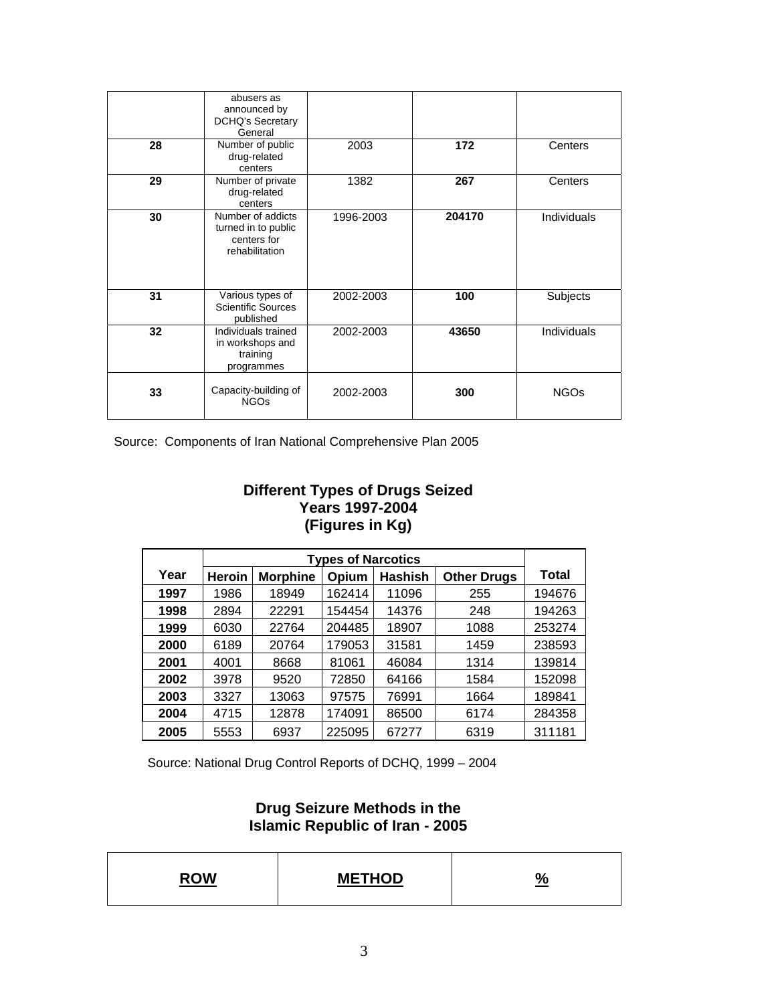| 28 | abusers as<br>announced by<br><b>DCHQ's Secretary</b><br>General<br>Number of public<br>drug-related<br>centers | 2003      | 172    | Centers            |
|----|-----------------------------------------------------------------------------------------------------------------|-----------|--------|--------------------|
| 29 | Number of private<br>drug-related<br>centers                                                                    | 1382      | 267    | Centers            |
| 30 | Number of addicts<br>turned in to public<br>centers for<br>rehabilitation                                       | 1996-2003 | 204170 | <b>Individuals</b> |
| 31 | Various types of<br><b>Scientific Sources</b><br>published                                                      | 2002-2003 | 100    | Subjects           |
| 32 | Individuals trained<br>in workshops and<br>training<br>programmes                                               | 2002-2003 | 43650  | Individuals        |
| 33 | Capacity-building of<br><b>NGOs</b>                                                                             | 2002-2003 | 300    | <b>NGOs</b>        |

Source: Components of Iran National Comprehensive Plan 2005

## **Different Types of Drugs Seized Years 1997-2004 (Figures in Kg)**

|      | <b>Types of Narcotics</b> |                 |        |                |                    |        |
|------|---------------------------|-----------------|--------|----------------|--------------------|--------|
| Year | <b>Heroin</b>             | <b>Morphine</b> | Opium  | <b>Hashish</b> | <b>Other Drugs</b> | Total  |
| 1997 | 1986                      | 18949           | 162414 | 11096          | 255                | 194676 |
| 1998 | 2894                      | 22291           | 154454 | 14376          | 248                | 194263 |
| 1999 | 6030                      | 22764           | 204485 | 18907          | 1088               | 253274 |
| 2000 | 6189                      | 20764           | 179053 | 31581          | 1459               | 238593 |
| 2001 | 4001                      | 8668            | 81061  | 46084          | 1314               | 139814 |
| 2002 | 3978                      | 9520            | 72850  | 64166          | 1584               | 152098 |
| 2003 | 3327                      | 13063           | 97575  | 76991          | 1664               | 189841 |
| 2004 | 4715                      | 12878           | 174091 | 86500          | 6174               | 284358 |
| 2005 | 5553                      | 6937            | 225095 | 67277          | 6319               | 311181 |

Source: National Drug Control Reports of DCHQ, 1999 – 2004

## **Drug Seizure Methods in the Islamic Republic of Iran - 2005**

| <b>DOM</b> | <b>METHOD</b> | υ |
|------------|---------------|---|
|------------|---------------|---|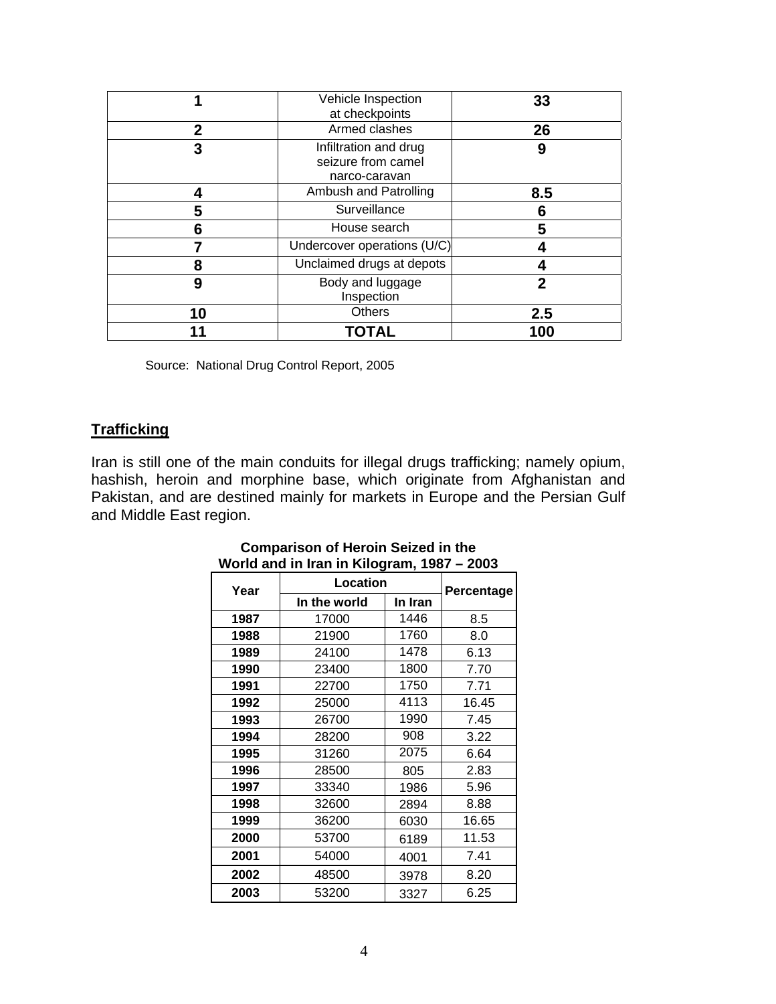|                                     | Vehicle Inspection<br>at checkpoints                         | 33           |
|-------------------------------------|--------------------------------------------------------------|--------------|
| 2                                   | Armed clashes                                                | 26           |
| 3                                   | Infiltration and drug<br>seizure from camel<br>narco-caravan | 9            |
| 4                                   | Ambush and Patrolling                                        | 8.5          |
| 5                                   | Surveillance                                                 | 6            |
| 6                                   | House search                                                 | 5            |
|                                     | Undercover operations (U/C)                                  |              |
| 8                                   | Unclaimed drugs at depots                                    |              |
| Body and luggage<br>9<br>Inspection |                                                              | $\mathbf{2}$ |
| 10                                  | <b>Others</b>                                                | 2.5          |
|                                     | TOTAL                                                        | 100          |

Source: National Drug Control Report, 2005

# **Trafficking**

Iran is still one of the main conduits for illegal drugs trafficking; namely opium, hashish, heroin and morphine base, which originate from Afghanistan and Pakistan, and are destined mainly for markets in Europe and the Persian Gulf and Middle East region.

| Year | Location     | Percentage |       |
|------|--------------|------------|-------|
|      | In the world | In Iran    |       |
| 1987 | 17000        | 1446       | 8.5   |
| 1988 | 21900        | 1760       | 8.0   |
| 1989 | 24100        | 1478       | 6.13  |
| 1990 | 23400        | 1800       | 7.70  |
| 1991 | 22700        | 1750       | 7.71  |
| 1992 | 25000        | 4113       | 16.45 |
| 1993 | 26700        | 1990       | 7.45  |
| 1994 | 28200        | 908        | 3.22  |
| 1995 | 31260        | 2075       | 6.64  |
| 1996 | 28500        | 805        | 2.83  |
| 1997 | 33340        | 1986       | 5.96  |
| 1998 | 32600        | 2894       | 8.88  |
| 1999 | 36200        | 6030       | 16.65 |
| 2000 | 53700        | 6189       | 11.53 |
| 2001 | 54000        | 4001       | 7.41  |
| 2002 | 48500        | 3978       | 8.20  |
| 2003 | 53200        | 3327       | 6.25  |

#### **Comparison of Heroin Seized in the World and in Iran in Kilogram, 1987 – 2003**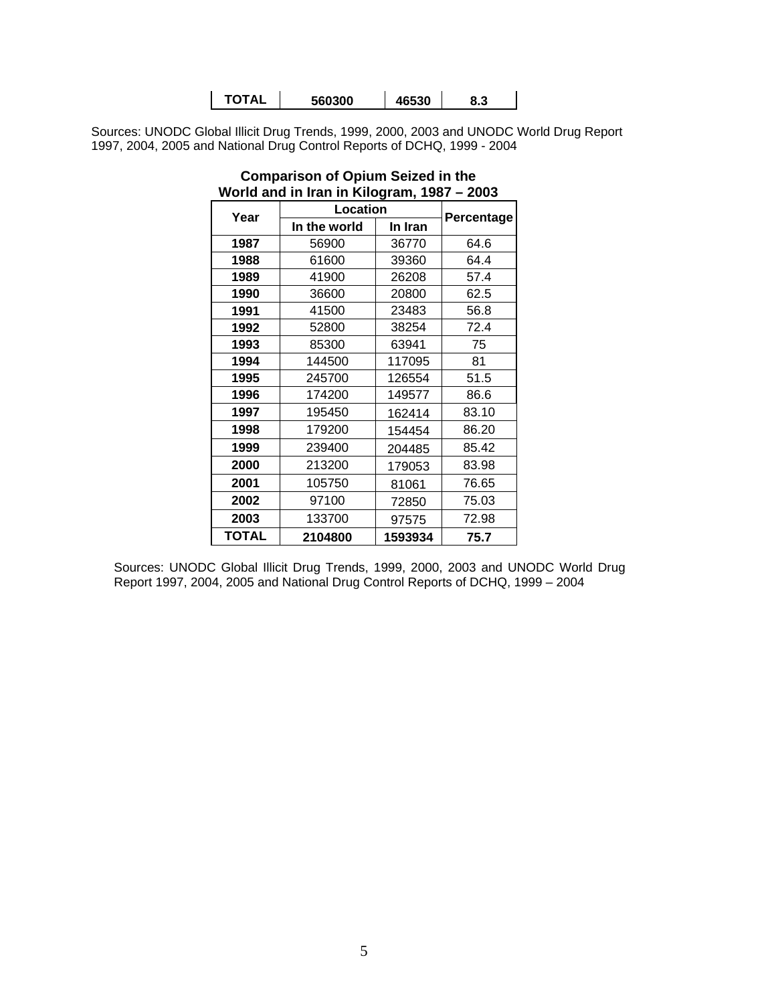| <b>TOTAL</b> | 560300 | 46530 | 8.3 |
|--------------|--------|-------|-----|
|--------------|--------|-------|-----|

Sources: UNODC Global Illicit Drug Trends, 1999, 2000, 2003 and UNODC World Drug Report 1997, 2004, 2005 and National Drug Control Reports of DCHQ, 1999 - 2004

| rona ana ini iran ini mwakami, 1997<br>∼∽∽ |              |            |       |  |  |  |
|--------------------------------------------|--------------|------------|-------|--|--|--|
| Year                                       | Location     | Percentage |       |  |  |  |
|                                            | In the world | In Iran    |       |  |  |  |
| 1987                                       | 56900        | 36770      | 64.6  |  |  |  |
| 1988                                       | 61600        | 39360      | 64.4  |  |  |  |
| 1989                                       | 41900        | 26208      | 57.4  |  |  |  |
| 1990                                       | 36600        | 20800      | 62.5  |  |  |  |
| 1991                                       | 41500        | 23483      | 56.8  |  |  |  |
| 1992                                       | 52800        | 38254      | 72.4  |  |  |  |
| 1993                                       | 85300        | 63941      | 75    |  |  |  |
| 1994                                       | 144500       | 117095     | 81    |  |  |  |
| 1995                                       | 245700       | 126554     | 51.5  |  |  |  |
| 1996                                       | 174200       | 149577     | 86.6  |  |  |  |
| 1997                                       | 195450       | 162414     | 83.10 |  |  |  |
| 1998                                       | 179200       | 154454     | 86.20 |  |  |  |
| 1999                                       | 239400       | 204485     | 85.42 |  |  |  |
| 2000                                       | 213200       | 179053     | 83.98 |  |  |  |
| 2001                                       | 105750       | 81061      | 76.65 |  |  |  |
| 2002                                       | 97100        | 72850      | 75.03 |  |  |  |
| 2003                                       | 133700       | 97575      | 72.98 |  |  |  |
| <b>TOTAL</b>                               | 2104800      | 1593934    | 75.7  |  |  |  |

#### **Comparison of Opium Seized in the World and in Iran in Kilogram, 1987 – 2003**

Sources: UNODC Global Illicit Drug Trends, 1999, 2000, 2003 and UNODC World Drug Report 1997, 2004, 2005 and National Drug Control Reports of DCHQ, 1999 – 2004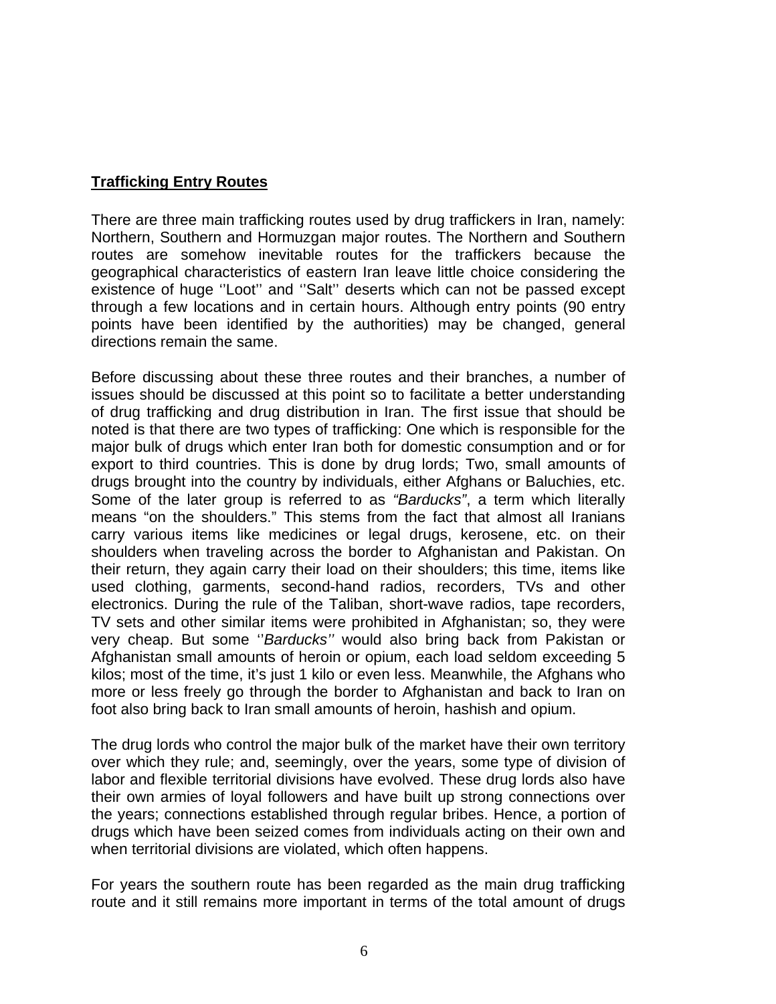## **Trafficking Entry Routes**

There are three main trafficking routes used by drug traffickers in Iran, namely: Northern, Southern and Hormuzgan major routes. The Northern and Southern routes are somehow inevitable routes for the traffickers because the geographical characteristics of eastern Iran leave little choice considering the existence of huge ''Loot'' and ''Salt'' deserts which can not be passed except through a few locations and in certain hours. Although entry points (90 entry points have been identified by the authorities) may be changed, general directions remain the same.

Before discussing about these three routes and their branches, a number of issues should be discussed at this point so to facilitate a better understanding of drug trafficking and drug distribution in Iran. The first issue that should be noted is that there are two types of trafficking: One which is responsible for the major bulk of drugs which enter Iran both for domestic consumption and or for export to third countries. This is done by drug lords; Two, small amounts of drugs brought into the country by individuals, either Afghans or Baluchies, etc. Some of the later group is referred to as *"Barducks"*, a term which literally means "on the shoulders." This stems from the fact that almost all Iranians carry various items like medicines or legal drugs, kerosene, etc. on their shoulders when traveling across the border to Afghanistan and Pakistan. On their return, they again carry their load on their shoulders; this time, items like used clothing, garments, second-hand radios, recorders, TVs and other electronics. During the rule of the Taliban, short-wave radios, tape recorders, TV sets and other similar items were prohibited in Afghanistan; so, they were very cheap. But some ''*Barducks''* would also bring back from Pakistan or Afghanistan small amounts of heroin or opium, each load seldom exceeding 5 kilos; most of the time, it's just 1 kilo or even less. Meanwhile, the Afghans who more or less freely go through the border to Afghanistan and back to Iran on foot also bring back to Iran small amounts of heroin, hashish and opium.

The drug lords who control the major bulk of the market have their own territory over which they rule; and, seemingly, over the years, some type of division of labor and flexible territorial divisions have evolved. These drug lords also have their own armies of loyal followers and have built up strong connections over the years; connections established through regular bribes. Hence, a portion of drugs which have been seized comes from individuals acting on their own and when territorial divisions are violated, which often happens.

For years the southern route has been regarded as the main drug trafficking route and it still remains more important in terms of the total amount of drugs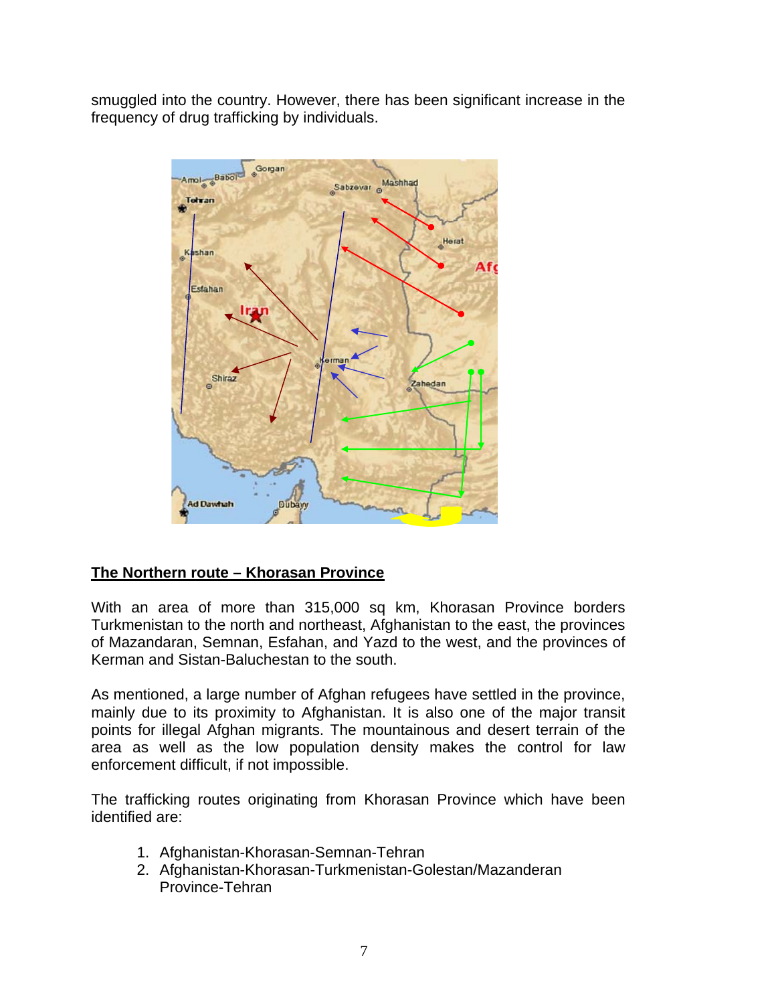smuggled into the country. However, there has been significant increase in the frequency of drug trafficking by individuals.



# **The Northern route – Khorasan Province**

With an area of more than 315,000 sq km, Khorasan Province borders Turkmenistan to the north and northeast, Afghanistan to the east, the provinces of Mazandaran, Semnan, Esfahan, and Yazd to the west, and the provinces of Kerman and Sistan-Baluchestan to the south.

As mentioned, a large number of Afghan refugees have settled in the province, mainly due to its proximity to Afghanistan. It is also one of the major transit points for illegal Afghan migrants. The mountainous and desert terrain of the area as well as the low population density makes the control for law enforcement difficult, if not impossible.

The trafficking routes originating from Khorasan Province which have been identified are:

- 1. Afghanistan-Khorasan-Semnan-Tehran
- 2. Afghanistan-Khorasan-Turkmenistan-Golestan/Mazanderan Province-Tehran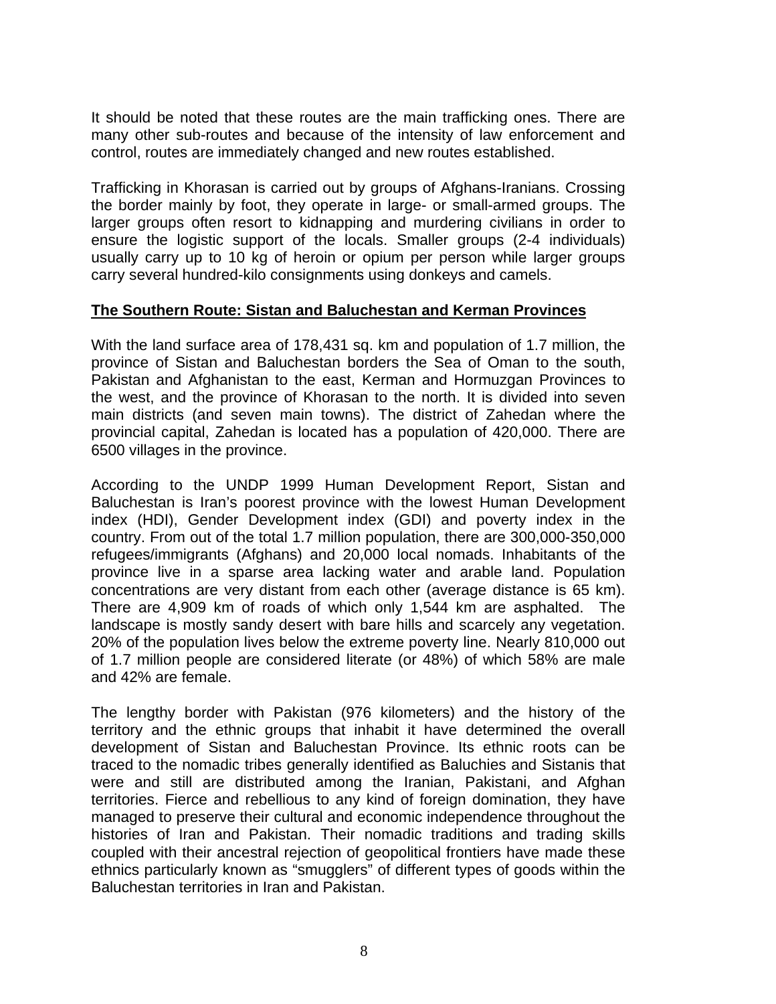It should be noted that these routes are the main trafficking ones. There are many other sub-routes and because of the intensity of law enforcement and control, routes are immediately changed and new routes established.

Trafficking in Khorasan is carried out by groups of Afghans-Iranians. Crossing the border mainly by foot, they operate in large- or small-armed groups. The larger groups often resort to kidnapping and murdering civilians in order to ensure the logistic support of the locals. Smaller groups (2-4 individuals) usually carry up to 10 kg of heroin or opium per person while larger groups carry several hundred-kilo consignments using donkeys and camels.

## **The Southern Route: Sistan and Baluchestan and Kerman Provinces**

With the land surface area of 178,431 sq. km and population of 1.7 million, the province of Sistan and Baluchestan borders the Sea of Oman to the south, Pakistan and Afghanistan to the east, Kerman and Hormuzgan Provinces to the west, and the province of Khorasan to the north. It is divided into seven main districts (and seven main towns). The district of Zahedan where the provincial capital, Zahedan is located has a population of 420,000. There are 6500 villages in the province.

According to the UNDP 1999 Human Development Report, Sistan and Baluchestan is Iran's poorest province with the lowest Human Development index (HDI), Gender Development index (GDI) and poverty index in the country. From out of the total 1.7 million population, there are 300,000-350,000 refugees/immigrants (Afghans) and 20,000 local nomads. Inhabitants of the province live in a sparse area lacking water and arable land. Population concentrations are very distant from each other (average distance is 65 km). There are 4,909 km of roads of which only 1,544 km are asphalted. The landscape is mostly sandy desert with bare hills and scarcely any vegetation. 20% of the population lives below the extreme poverty line. Nearly 810,000 out of 1.7 million people are considered literate (or 48%) of which 58% are male and 42% are female.

The lengthy border with Pakistan (976 kilometers) and the history of the territory and the ethnic groups that inhabit it have determined the overall development of Sistan and Baluchestan Province. Its ethnic roots can be traced to the nomadic tribes generally identified as Baluchies and Sistanis that were and still are distributed among the Iranian, Pakistani, and Afghan territories. Fierce and rebellious to any kind of foreign domination, they have managed to preserve their cultural and economic independence throughout the histories of Iran and Pakistan. Their nomadic traditions and trading skills coupled with their ancestral rejection of geopolitical frontiers have made these ethnics particularly known as "smugglers" of different types of goods within the Baluchestan territories in Iran and Pakistan.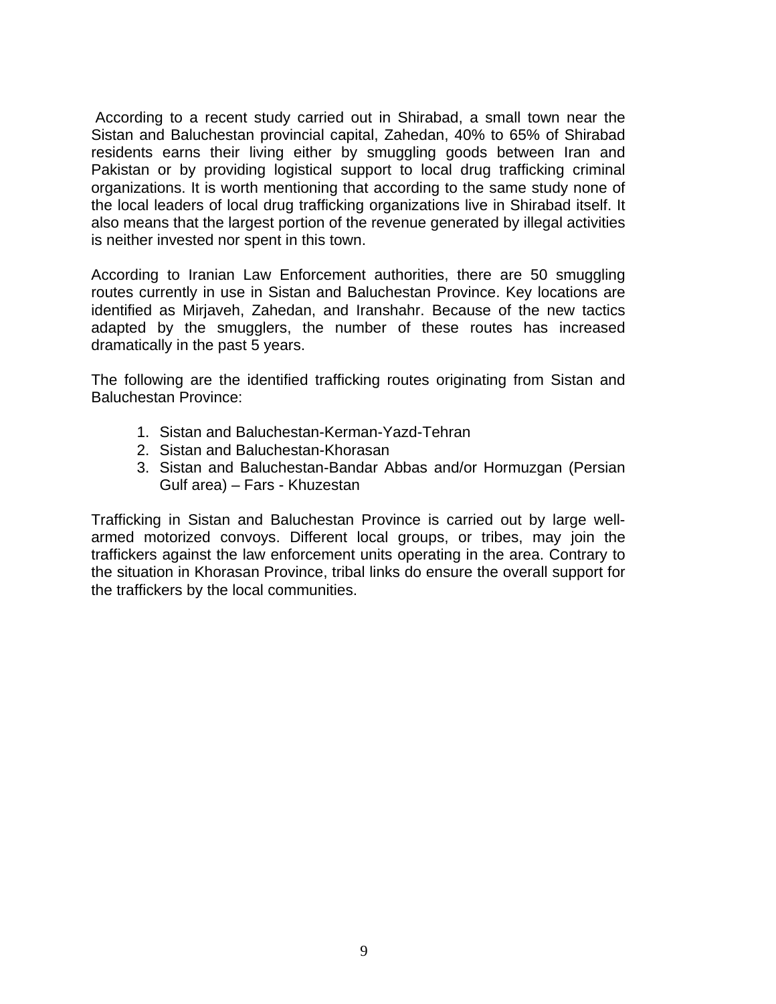According to a recent study carried out in Shirabad, a small town near the Sistan and Baluchestan provincial capital, Zahedan, 40% to 65% of Shirabad residents earns their living either by smuggling goods between Iran and Pakistan or by providing logistical support to local drug trafficking criminal organizations. It is worth mentioning that according to the same study none of the local leaders of local drug trafficking organizations live in Shirabad itself. It also means that the largest portion of the revenue generated by illegal activities is neither invested nor spent in this town.

According to Iranian Law Enforcement authorities, there are 50 smuggling routes currently in use in Sistan and Baluchestan Province. Key locations are identified as Mirjaveh, Zahedan, and Iranshahr. Because of the new tactics adapted by the smugglers, the number of these routes has increased dramatically in the past 5 years.

The following are the identified trafficking routes originating from Sistan and Baluchestan Province:

- 1. Sistan and Baluchestan-Kerman-Yazd-Tehran
- 2. Sistan and Baluchestan-Khorasan
- 3. Sistan and Baluchestan-Bandar Abbas and/or Hormuzgan (Persian Gulf area) – Fars - Khuzestan

Trafficking in Sistan and Baluchestan Province is carried out by large wellarmed motorized convoys. Different local groups, or tribes, may join the traffickers against the law enforcement units operating in the area. Contrary to the situation in Khorasan Province, tribal links do ensure the overall support for the traffickers by the local communities.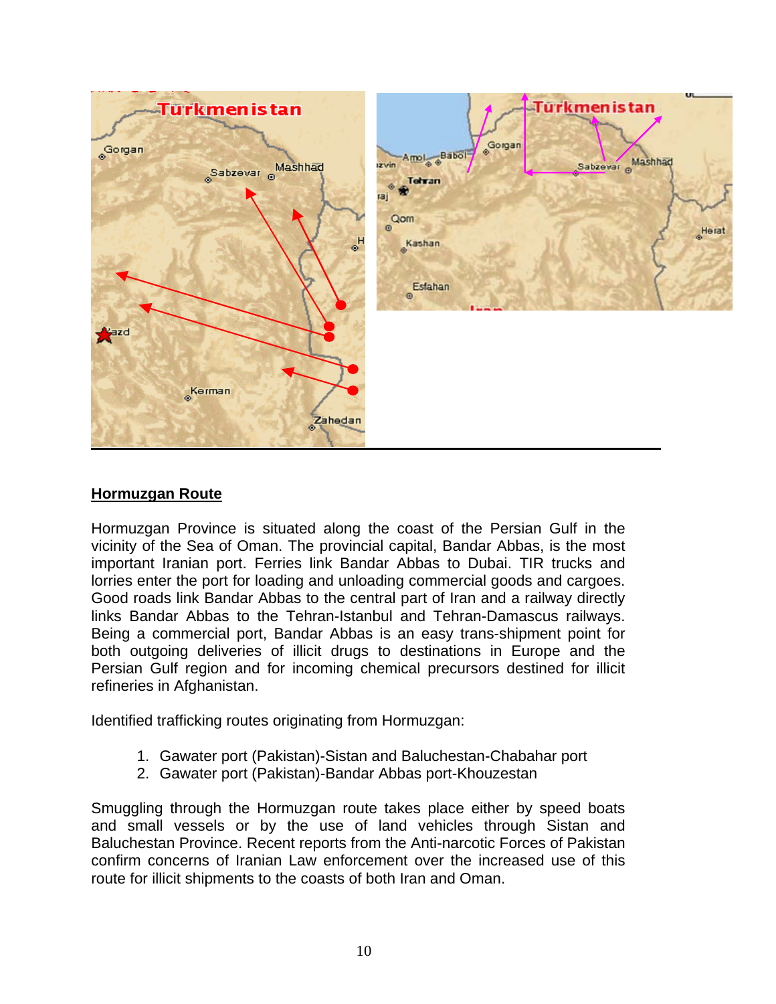

## **Hormuzgan Route**

Hormuzgan Province is situated along the coast of the Persian Gulf in the vicinity of the Sea of Oman. The provincial capital, Bandar Abbas, is the most important Iranian port. Ferries link Bandar Abbas to Dubai. TIR trucks and lorries enter the port for loading and unloading commercial goods and cargoes. Good roads link Bandar Abbas to the central part of Iran and a railway directly links Bandar Abbas to the Tehran-Istanbul and Tehran-Damascus railways. Being a commercial port, Bandar Abbas is an easy trans-shipment point for both outgoing deliveries of illicit drugs to destinations in Europe and the Persian Gulf region and for incoming chemical precursors destined for illicit refineries in Afghanistan.

Identified trafficking routes originating from Hormuzgan:

- 1. Gawater port (Pakistan)-Sistan and Baluchestan-Chabahar port
- 2. Gawater port (Pakistan)-Bandar Abbas port-Khouzestan

Smuggling through the Hormuzgan route takes place either by speed boats and small vessels or by the use of land vehicles through Sistan and Baluchestan Province. Recent reports from the Anti-narcotic Forces of Pakistan confirm concerns of Iranian Law enforcement over the increased use of this route for illicit shipments to the coasts of both Iran and Oman.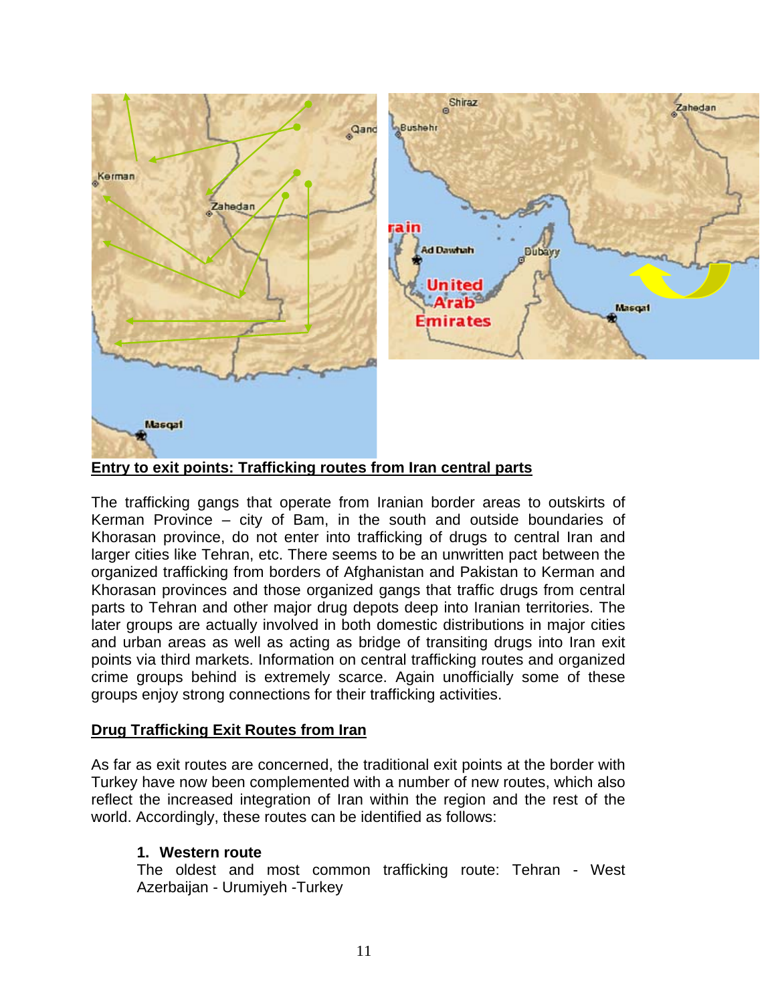

**Entry to exit points: Trafficking routes from Iran central parts**

The trafficking gangs that operate from Iranian border areas to outskirts of Kerman Province – city of Bam, in the south and outside boundaries of Khorasan province, do not enter into trafficking of drugs to central Iran and larger cities like Tehran, etc. There seems to be an unwritten pact between the organized trafficking from borders of Afghanistan and Pakistan to Kerman and Khorasan provinces and those organized gangs that traffic drugs from central parts to Tehran and other major drug depots deep into Iranian territories. The later groups are actually involved in both domestic distributions in major cities and urban areas as well as acting as bridge of transiting drugs into Iran exit points via third markets. Information on central trafficking routes and organized crime groups behind is extremely scarce. Again unofficially some of these groups enjoy strong connections for their trafficking activities.

### **Drug Trafficking Exit Routes from Iran**

As far as exit routes are concerned, the traditional exit points at the border with Turkey have now been complemented with a number of new routes, which also reflect the increased integration of Iran within the region and the rest of the world. Accordingly, these routes can be identified as follows:

### **1. Western route**

The oldest and most common trafficking route: Tehran - West Azerbaijan - Urumiyeh -Turkey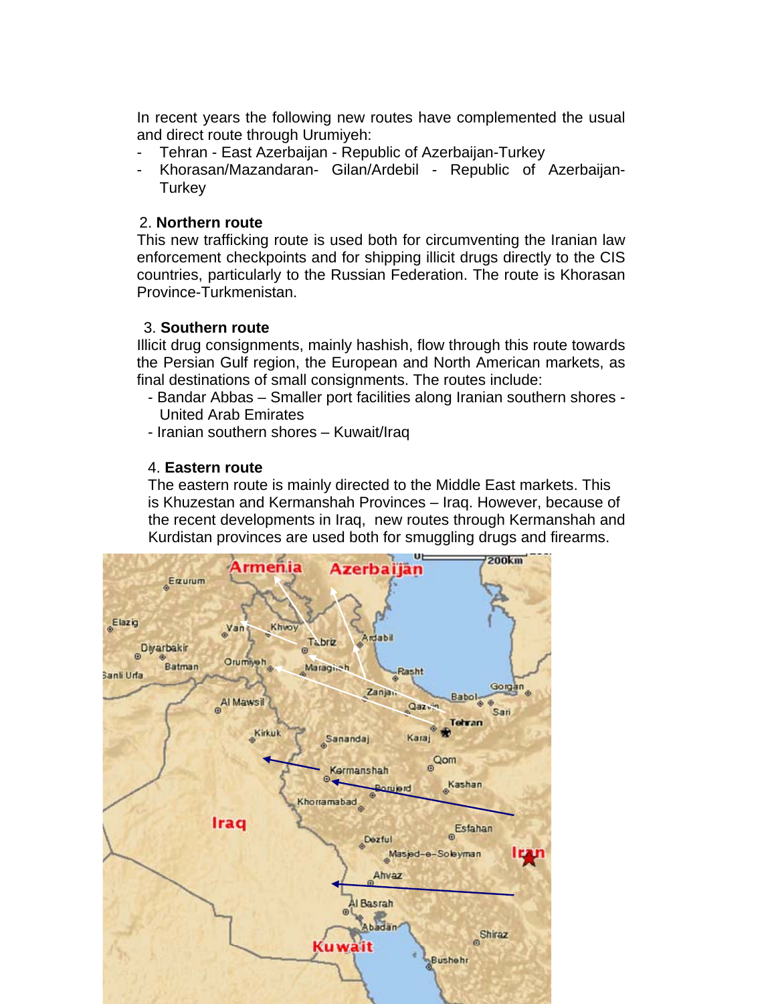In recent years the following new routes have complemented the usual and direct route through Urumiyeh:

- Tehran East Azerbaijan Republic of Azerbaijan-Turkey
- Khorasan/Mazandaran- Gilan/Ardebil Republic of Azerbaijan-**Turkey**

## 2. **Northern route**

This new trafficking route is used both for circumventing the Iranian law enforcement checkpoints and for shipping illicit drugs directly to the CIS countries, particularly to the Russian Federation. The route is Khorasan Province-Turkmenistan.

## 3. **Southern route**

Illicit drug consignments, mainly hashish, flow through this route towards the Persian Gulf region, the European and North American markets, as final destinations of small consignments. The routes include:

- Bandar Abbas Smaller port facilities along Iranian southern shores United Arab Emirates
- Iranian southern shores Kuwait/Iraq

# 4. **Eastern route**

 The eastern route is mainly directed to the Middle East markets. This is Khuzestan and Kermanshah Provinces – Iraq. However, because of the recent developments in Iraq, new routes through Kermanshah and Kurdistan provinces are used both for smuggling drugs and firearms.